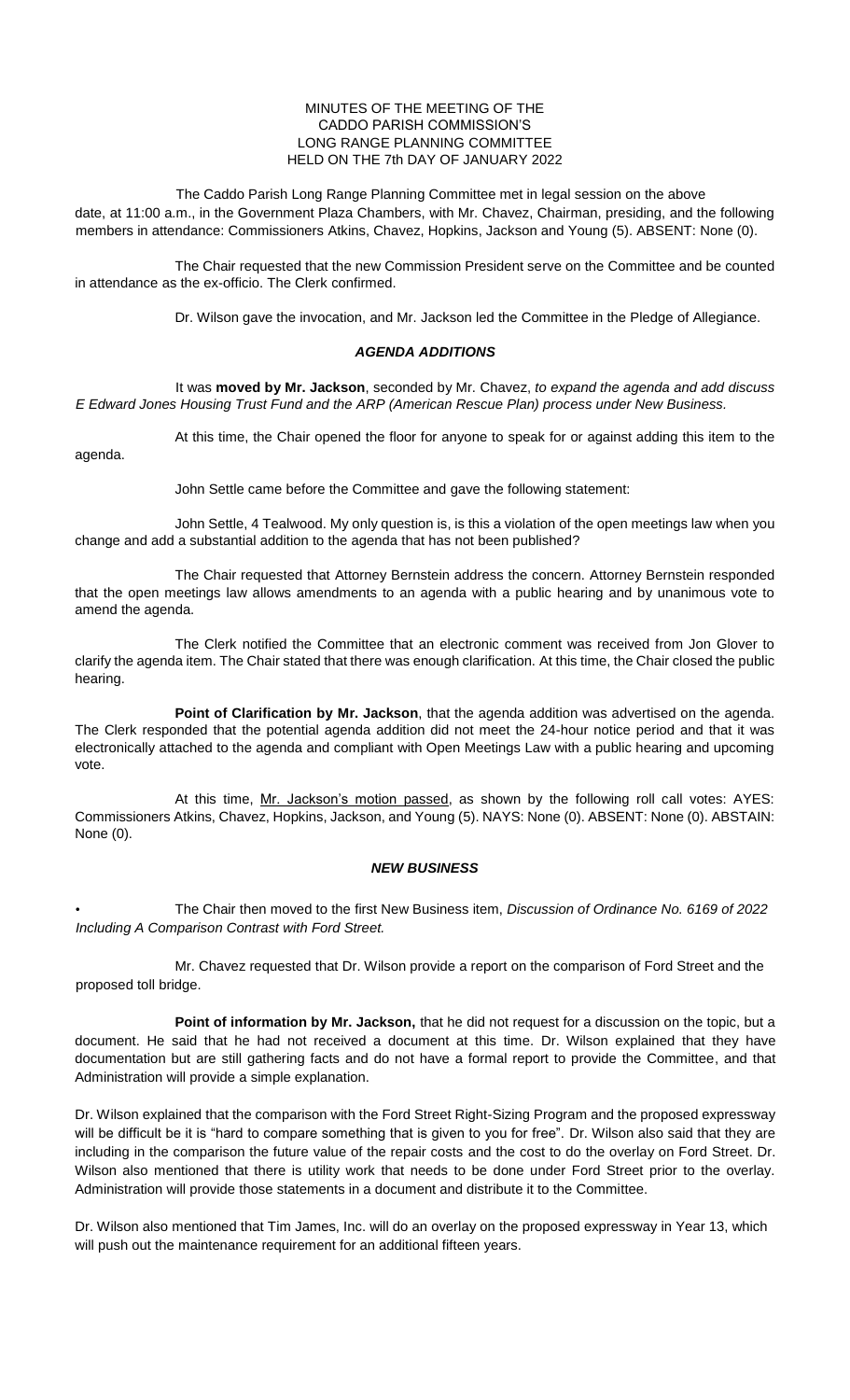## MINUTES OF THE MEETING OF THE CADDO PARISH COMMISSION'S LONG RANGE PLANNING COMMITTEE HELD ON THE 7th DAY OF JANUARY 2022

The Caddo Parish Long Range Planning Committee met in legal session on the above date, at 11:00 a.m., in the Government Plaza Chambers, with Mr. Chavez, Chairman, presiding, and the following members in attendance: Commissioners Atkins, Chavez, Hopkins, Jackson and Young (5). ABSENT: None (0).

The Chair requested that the new Commission President serve on the Committee and be counted in attendance as the ex-officio. The Clerk confirmed.

Dr. Wilson gave the invocation, and Mr. Jackson led the Committee in the Pledge of Allegiance.

## *AGENDA ADDITIONS*

It was **moved by Mr. Jackson**, seconded by Mr. Chavez, *to expand the agenda and add discuss E Edward Jones Housing Trust Fund and the ARP (American Rescue Plan) process under New Business.*

At this time, the Chair opened the floor for anyone to speak for or against adding this item to the agenda.

John Settle came before the Committee and gave the following statement:

John Settle, 4 Tealwood. My only question is, is this a violation of the open meetings law when you change and add a substantial addition to the agenda that has not been published?

The Chair requested that Attorney Bernstein address the concern. Attorney Bernstein responded that the open meetings law allows amendments to an agenda with a public hearing and by unanimous vote to amend the agenda.

The Clerk notified the Committee that an electronic comment was received from Jon Glover to clarify the agenda item. The Chair stated that there was enough clarification. At this time, the Chair closed the public hearing.

**Point of Clarification by Mr. Jackson**, that the agenda addition was advertised on the agenda. The Clerk responded that the potential agenda addition did not meet the 24-hour notice period and that it was electronically attached to the agenda and compliant with Open Meetings Law with a public hearing and upcoming vote.

At this time, Mr. Jackson's motion passed, as shown by the following roll call votes: AYES: Commissioners Atkins, Chavez, Hopkins, Jackson, and Young (5). NAYS: None (0). ABSENT: None (0). ABSTAIN: None (0).

## *NEW BUSINESS*

• The Chair then moved to the first New Business item, *Discussion of Ordinance No. 6169 of 2022 Including A Comparison Contrast with Ford Street.*

Mr. Chavez requested that Dr. Wilson provide a report on the comparison of Ford Street and the proposed toll bridge.

**Point of information by Mr. Jackson,** that he did not request for a discussion on the topic, but a document. He said that he had not received a document at this time. Dr. Wilson explained that they have documentation but are still gathering facts and do not have a formal report to provide the Committee, and that Administration will provide a simple explanation.

Dr. Wilson explained that the comparison with the Ford Street Right-Sizing Program and the proposed expressway will be difficult be it is "hard to compare something that is given to you for free". Dr. Wilson also said that they are including in the comparison the future value of the repair costs and the cost to do the overlay on Ford Street. Dr. Wilson also mentioned that there is utility work that needs to be done under Ford Street prior to the overlay. Administration will provide those statements in a document and distribute it to the Committee.

Dr. Wilson also mentioned that Tim James, Inc. will do an overlay on the proposed expressway in Year 13, which will push out the maintenance requirement for an additional fifteen years.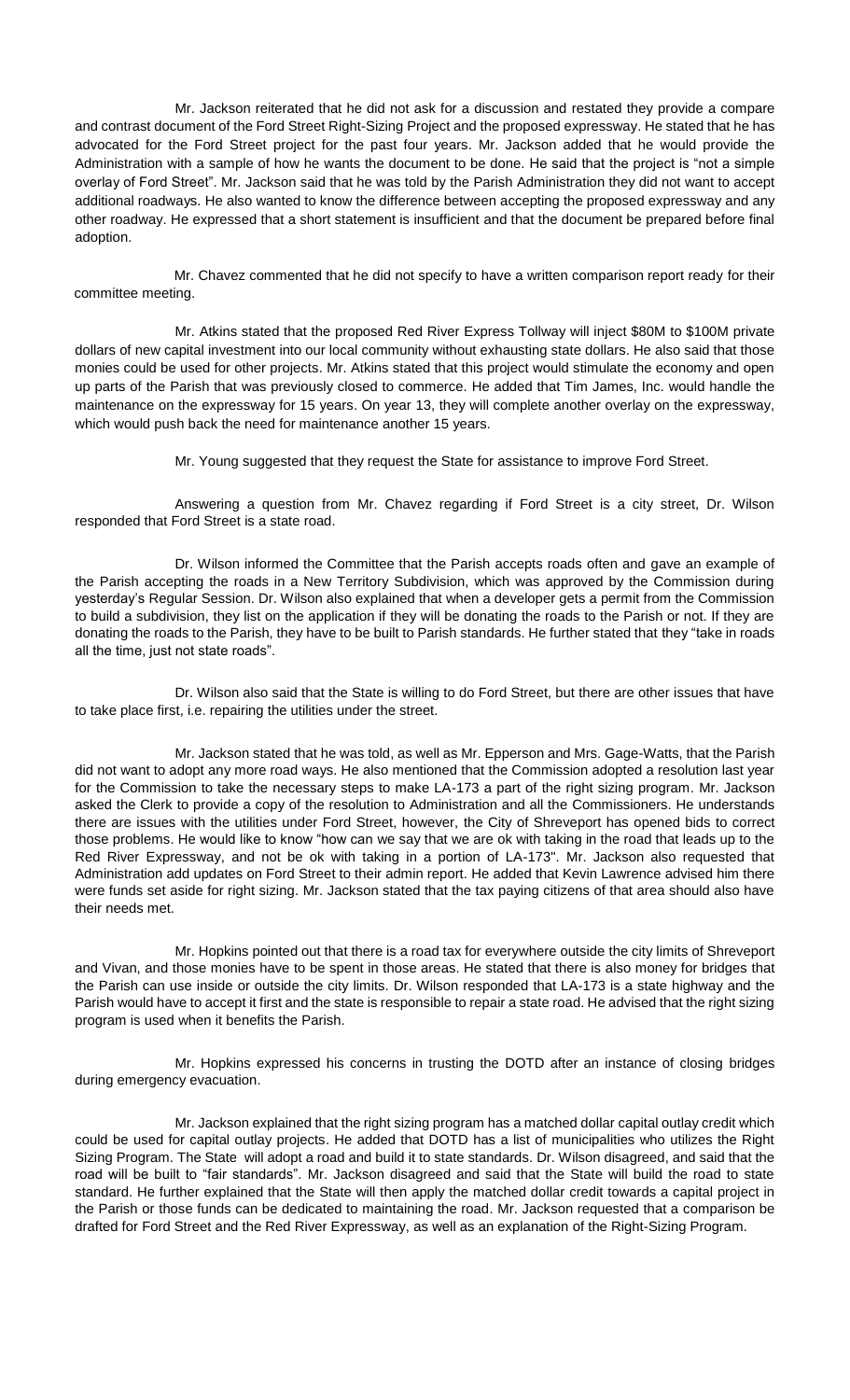Mr. Jackson reiterated that he did not ask for a discussion and restated they provide a compare and contrast document of the Ford Street Right-Sizing Project and the proposed expressway. He stated that he has advocated for the Ford Street project for the past four years. Mr. Jackson added that he would provide the Administration with a sample of how he wants the document to be done. He said that the project is "not a simple overlay of Ford Street". Mr. Jackson said that he was told by the Parish Administration they did not want to accept additional roadways. He also wanted to know the difference between accepting the proposed expressway and any other roadway. He expressed that a short statement is insufficient and that the document be prepared before final adoption.

Mr. Chavez commented that he did not specify to have a written comparison report ready for their committee meeting.

Mr. Atkins stated that the proposed Red River Express Tollway will inject \$80M to \$100M private dollars of new capital investment into our local community without exhausting state dollars. He also said that those monies could be used for other projects. Mr. Atkins stated that this project would stimulate the economy and open up parts of the Parish that was previously closed to commerce. He added that Tim James, Inc. would handle the maintenance on the expressway for 15 years. On year 13, they will complete another overlay on the expressway, which would push back the need for maintenance another 15 years.

Mr. Young suggested that they request the State for assistance to improve Ford Street.

Answering a question from Mr. Chavez regarding if Ford Street is a city street, Dr. Wilson responded that Ford Street is a state road.

Dr. Wilson informed the Committee that the Parish accepts roads often and gave an example of the Parish accepting the roads in a New Territory Subdivision, which was approved by the Commission during yesterday's Regular Session. Dr. Wilson also explained that when a developer gets a permit from the Commission to build a subdivision, they list on the application if they will be donating the roads to the Parish or not. If they are donating the roads to the Parish, they have to be built to Parish standards. He further stated that they "take in roads all the time, just not state roads".

Dr. Wilson also said that the State is willing to do Ford Street, but there are other issues that have to take place first, i.e. repairing the utilities under the street.

Mr. Jackson stated that he was told, as well as Mr. Epperson and Mrs. Gage-Watts, that the Parish did not want to adopt any more road ways. He also mentioned that the Commission adopted a resolution last year for the Commission to take the necessary steps to make LA-173 a part of the right sizing program. Mr. Jackson asked the Clerk to provide a copy of the resolution to Administration and all the Commissioners. He understands there are issues with the utilities under Ford Street, however, the City of Shreveport has opened bids to correct those problems. He would like to know "how can we say that we are ok with taking in the road that leads up to the Red River Expressway, and not be ok with taking in a portion of LA-173". Mr. Jackson also requested that Administration add updates on Ford Street to their admin report. He added that Kevin Lawrence advised him there were funds set aside for right sizing. Mr. Jackson stated that the tax paying citizens of that area should also have their needs met.

Mr. Hopkins pointed out that there is a road tax for everywhere outside the city limits of Shreveport and Vivan, and those monies have to be spent in those areas. He stated that there is also money for bridges that the Parish can use inside or outside the city limits. Dr. Wilson responded that LA-173 is a state highway and the Parish would have to accept it first and the state is responsible to repair a state road. He advised that the right sizing program is used when it benefits the Parish.

Mr. Hopkins expressed his concerns in trusting the DOTD after an instance of closing bridges during emergency evacuation.

Mr. Jackson explained that the right sizing program has a matched dollar capital outlay credit which could be used for capital outlay projects. He added that DOTD has a list of municipalities who utilizes the Right Sizing Program. The State will adopt a road and build it to state standards. Dr. Wilson disagreed, and said that the road will be built to "fair standards". Mr. Jackson disagreed and said that the State will build the road to state standard. He further explained that the State will then apply the matched dollar credit towards a capital project in the Parish or those funds can be dedicated to maintaining the road. Mr. Jackson requested that a comparison be drafted for Ford Street and the Red River Expressway, as well as an explanation of the Right-Sizing Program.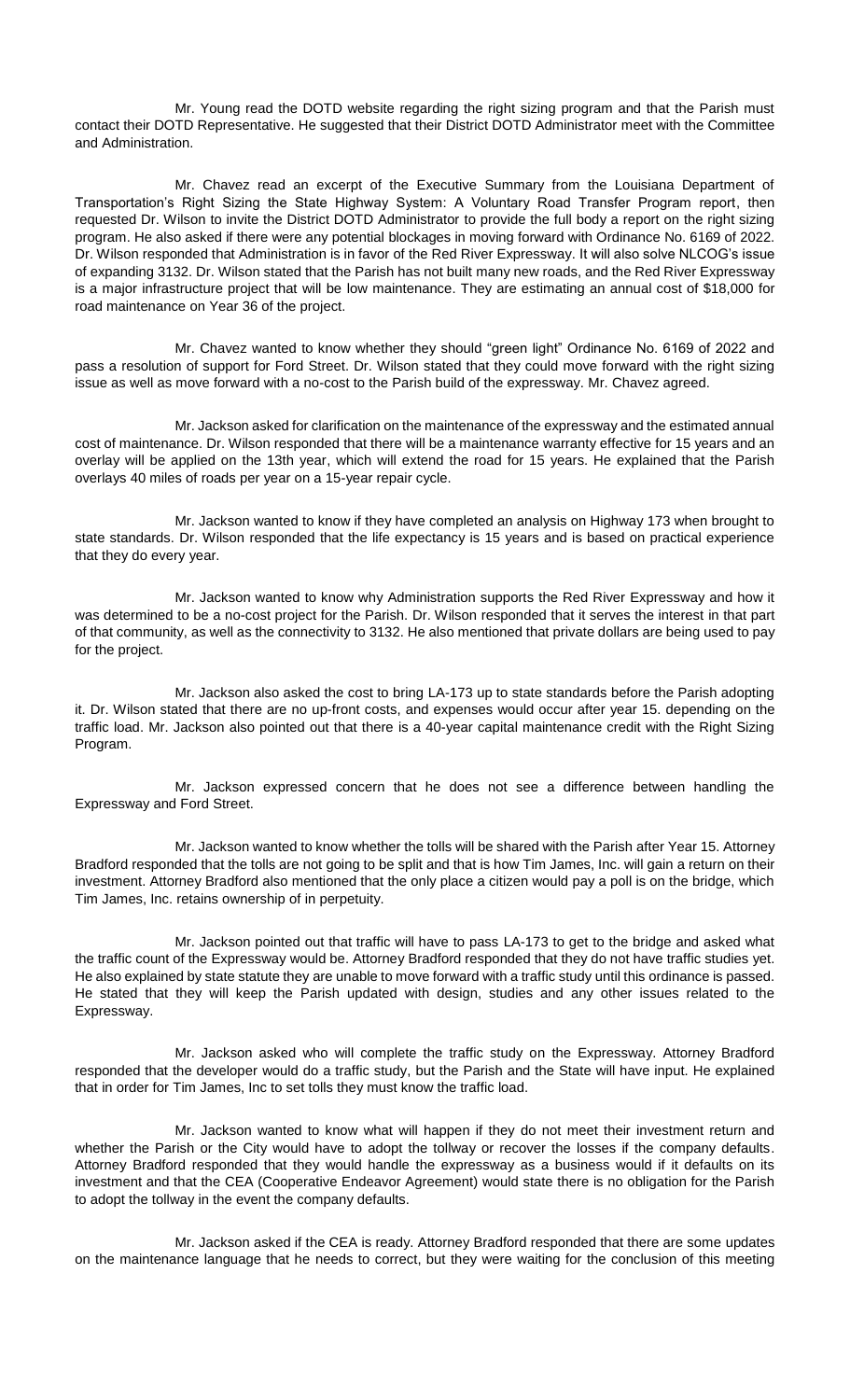Mr. Young read the DOTD website regarding the right sizing program and that the Parish must contact their DOTD Representative. He suggested that their District DOTD Administrator meet with the Committee and Administration.

Mr. Chavez read an excerpt of the Executive Summary from the Louisiana Department of Transportation's Right Sizing the State Highway System: A Voluntary Road Transfer Program report, then requested Dr. Wilson to invite the District DOTD Administrator to provide the full body a report on the right sizing program. He also asked if there were any potential blockages in moving forward with Ordinance No. 6169 of 2022. Dr. Wilson responded that Administration is in favor of the Red River Expressway. It will also solve NLCOG's issue of expanding 3132. Dr. Wilson stated that the Parish has not built many new roads, and the Red River Expressway is a major infrastructure project that will be low maintenance. They are estimating an annual cost of \$18,000 for road maintenance on Year 36 of the project.

Mr. Chavez wanted to know whether they should "green light" Ordinance No. 6169 of 2022 and pass a resolution of support for Ford Street. Dr. Wilson stated that they could move forward with the right sizing issue as well as move forward with a no-cost to the Parish build of the expressway. Mr. Chavez agreed.

Mr. Jackson asked for clarification on the maintenance of the expressway and the estimated annual cost of maintenance. Dr. Wilson responded that there will be a maintenance warranty effective for 15 years and an overlay will be applied on the 13th year, which will extend the road for 15 years. He explained that the Parish overlays 40 miles of roads per year on a 15-year repair cycle.

Mr. Jackson wanted to know if they have completed an analysis on Highway 173 when brought to state standards. Dr. Wilson responded that the life expectancy is 15 years and is based on practical experience that they do every year.

Mr. Jackson wanted to know why Administration supports the Red River Expressway and how it was determined to be a no-cost project for the Parish. Dr. Wilson responded that it serves the interest in that part of that community, as well as the connectivity to 3132. He also mentioned that private dollars are being used to pay for the project.

Mr. Jackson also asked the cost to bring LA-173 up to state standards before the Parish adopting it. Dr. Wilson stated that there are no up-front costs, and expenses would occur after year 15. depending on the traffic load. Mr. Jackson also pointed out that there is a 40-year capital maintenance credit with the Right Sizing Program.

Mr. Jackson expressed concern that he does not see a difference between handling the Expressway and Ford Street.

Mr. Jackson wanted to know whether the tolls will be shared with the Parish after Year 15. Attorney Bradford responded that the tolls are not going to be split and that is how Tim James, Inc. will gain a return on their investment. Attorney Bradford also mentioned that the only place a citizen would pay a poll is on the bridge, which Tim James, Inc. retains ownership of in perpetuity.

Mr. Jackson pointed out that traffic will have to pass LA-173 to get to the bridge and asked what the traffic count of the Expressway would be. Attorney Bradford responded that they do not have traffic studies yet. He also explained by state statute they are unable to move forward with a traffic study until this ordinance is passed. He stated that they will keep the Parish updated with design, studies and any other issues related to the Expressway.

Mr. Jackson asked who will complete the traffic study on the Expressway. Attorney Bradford responded that the developer would do a traffic study, but the Parish and the State will have input. He explained that in order for Tim James, Inc to set tolls they must know the traffic load.

Mr. Jackson wanted to know what will happen if they do not meet their investment return and whether the Parish or the City would have to adopt the tollway or recover the losses if the company defaults. Attorney Bradford responded that they would handle the expressway as a business would if it defaults on its investment and that the CEA (Cooperative Endeavor Agreement) would state there is no obligation for the Parish to adopt the tollway in the event the company defaults.

Mr. Jackson asked if the CEA is ready. Attorney Bradford responded that there are some updates on the maintenance language that he needs to correct, but they were waiting for the conclusion of this meeting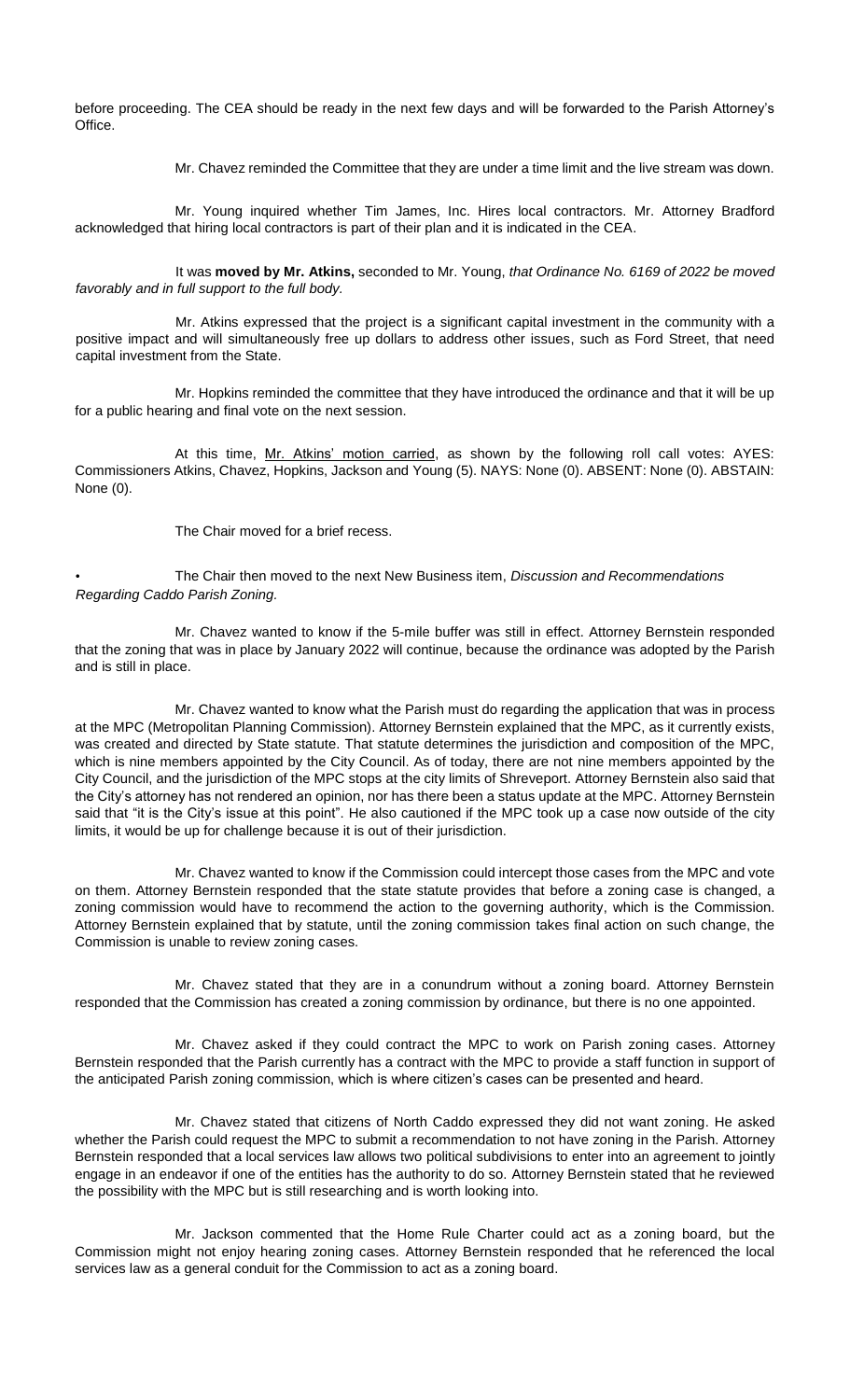before proceeding. The CEA should be ready in the next few days and will be forwarded to the Parish Attorney's Office.

Mr. Chavez reminded the Committee that they are under a time limit and the live stream was down.

Mr. Young inquired whether Tim James, Inc. Hires local contractors. Mr. Attorney Bradford acknowledged that hiring local contractors is part of their plan and it is indicated in the CEA.

It was **moved by Mr. Atkins,** seconded to Mr. Young, *that Ordinance No. 6169 of 2022 be moved favorably and in full support to the full body.* 

Mr. Atkins expressed that the project is a significant capital investment in the community with a positive impact and will simultaneously free up dollars to address other issues, such as Ford Street, that need capital investment from the State.

Mr. Hopkins reminded the committee that they have introduced the ordinance and that it will be up for a public hearing and final vote on the next session.

At this time, Mr. Atkins' motion carried, as shown by the following roll call votes: AYES: Commissioners Atkins, Chavez, Hopkins, Jackson and Young (5). NAYS: None (0). ABSENT: None (0). ABSTAIN: None (0).

The Chair moved for a brief recess.

• The Chair then moved to the next New Business item, *Discussion and Recommendations Regarding Caddo Parish Zoning.*

Mr. Chavez wanted to know if the 5-mile buffer was still in effect. Attorney Bernstein responded that the zoning that was in place by January 2022 will continue, because the ordinance was adopted by the Parish and is still in place.

Mr. Chavez wanted to know what the Parish must do regarding the application that was in process at the MPC (Metropolitan Planning Commission). Attorney Bernstein explained that the MPC, as it currently exists, was created and directed by State statute. That statute determines the jurisdiction and composition of the MPC, which is nine members appointed by the City Council. As of today, there are not nine members appointed by the City Council, and the jurisdiction of the MPC stops at the city limits of Shreveport. Attorney Bernstein also said that the City's attorney has not rendered an opinion, nor has there been a status update at the MPC. Attorney Bernstein said that "it is the City's issue at this point". He also cautioned if the MPC took up a case now outside of the city limits, it would be up for challenge because it is out of their jurisdiction.

Mr. Chavez wanted to know if the Commission could intercept those cases from the MPC and vote on them. Attorney Bernstein responded that the state statute provides that before a zoning case is changed, a zoning commission would have to recommend the action to the governing authority, which is the Commission. Attorney Bernstein explained that by statute, until the zoning commission takes final action on such change, the Commission is unable to review zoning cases.

Mr. Chavez stated that they are in a conundrum without a zoning board. Attorney Bernstein responded that the Commission has created a zoning commission by ordinance, but there is no one appointed.

Mr. Chavez asked if they could contract the MPC to work on Parish zoning cases. Attorney Bernstein responded that the Parish currently has a contract with the MPC to provide a staff function in support of the anticipated Parish zoning commission, which is where citizen's cases can be presented and heard.

Mr. Chavez stated that citizens of North Caddo expressed they did not want zoning. He asked whether the Parish could request the MPC to submit a recommendation to not have zoning in the Parish. Attorney Bernstein responded that a local services law allows two political subdivisions to enter into an agreement to jointly engage in an endeavor if one of the entities has the authority to do so. Attorney Bernstein stated that he reviewed the possibility with the MPC but is still researching and is worth looking into.

Mr. Jackson commented that the Home Rule Charter could act as a zoning board, but the Commission might not enjoy hearing zoning cases. Attorney Bernstein responded that he referenced the local services law as a general conduit for the Commission to act as a zoning board.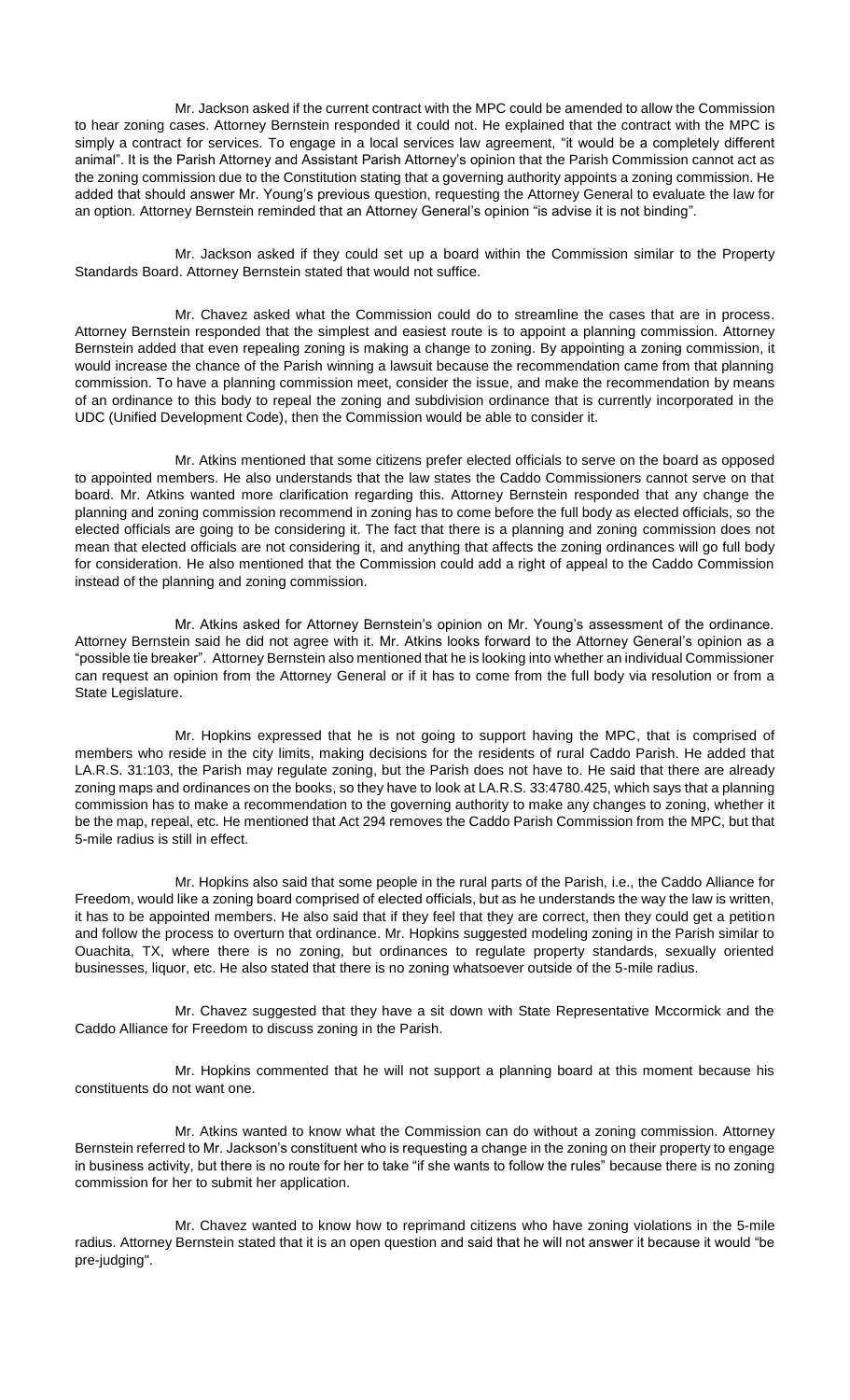Mr. Jackson asked if the current contract with the MPC could be amended to allow the Commission to hear zoning cases. Attorney Bernstein responded it could not. He explained that the contract with the MPC is simply a contract for services. To engage in a local services law agreement, "it would be a completely different animal". It is the Parish Attorney and Assistant Parish Attorney's opinion that the Parish Commission cannot act as the zoning commission due to the Constitution stating that a governing authority appoints a zoning commission. He added that should answer Mr. Young's previous question, requesting the Attorney General to evaluate the law for an option. Attorney Bernstein reminded that an Attorney General's opinion "is advise it is not binding".

Mr. Jackson asked if they could set up a board within the Commission similar to the Property Standards Board. Attorney Bernstein stated that would not suffice.

Mr. Chavez asked what the Commission could do to streamline the cases that are in process. Attorney Bernstein responded that the simplest and easiest route is to appoint a planning commission. Attorney Bernstein added that even repealing zoning is making a change to zoning. By appointing a zoning commission, it would increase the chance of the Parish winning a lawsuit because the recommendation came from that planning commission. To have a planning commission meet, consider the issue, and make the recommendation by means of an ordinance to this body to repeal the zoning and subdivision ordinance that is currently incorporated in the UDC (Unified Development Code), then the Commission would be able to consider it.

Mr. Atkins mentioned that some citizens prefer elected officials to serve on the board as opposed to appointed members. He also understands that the law states the Caddo Commissioners cannot serve on that board. Mr. Atkins wanted more clarification regarding this. Attorney Bernstein responded that any change the planning and zoning commission recommend in zoning has to come before the full body as elected officials, so the elected officials are going to be considering it. The fact that there is a planning and zoning commission does not mean that elected officials are not considering it, and anything that affects the zoning ordinances will go full body for consideration. He also mentioned that the Commission could add a right of appeal to the Caddo Commission instead of the planning and zoning commission.

Mr. Atkins asked for Attorney Bernstein's opinion on Mr. Young's assessment of the ordinance. Attorney Bernstein said he did not agree with it. Mr. Atkins looks forward to the Attorney General's opinion as a "possible tie breaker". Attorney Bernstein also mentioned that he is looking into whether an individual Commissioner can request an opinion from the Attorney General or if it has to come from the full body via resolution or from a State Legislature.

Mr. Hopkins expressed that he is not going to support having the MPC, that is comprised of members who reside in the city limits, making decisions for the residents of rural Caddo Parish. He added that LA.R.S. 31:103, the Parish may regulate zoning, but the Parish does not have to. He said that there are already zoning maps and ordinances on the books, so they have to look at LA.R.S. 33:4780.425, which says that a planning commission has to make a recommendation to the governing authority to make any changes to zoning, whether it be the map, repeal, etc. He mentioned that Act 294 removes the Caddo Parish Commission from the MPC, but that 5-mile radius is still in effect.

Mr. Hopkins also said that some people in the rural parts of the Parish, i.e., the Caddo Alliance for Freedom, would like a zoning board comprised of elected officials, but as he understands the way the law is written, it has to be appointed members. He also said that if they feel that they are correct, then they could get a petition and follow the process to overturn that ordinance. Mr. Hopkins suggested modeling zoning in the Parish similar to Ouachita, TX, where there is no zoning, but ordinances to regulate property standards, sexually oriented businesses, liquor, etc. He also stated that there is no zoning whatsoever outside of the 5-mile radius.

Mr. Chavez suggested that they have a sit down with State Representative Mccormick and the Caddo Alliance for Freedom to discuss zoning in the Parish.

Mr. Hopkins commented that he will not support a planning board at this moment because his constituents do not want one.

Mr. Atkins wanted to know what the Commission can do without a zoning commission. Attorney Bernstein referred to Mr. Jackson's constituent who is requesting a change in the zoning on their property to engage in business activity, but there is no route for her to take "if she wants to follow the rules" because there is no zoning commission for her to submit her application.

Mr. Chavez wanted to know how to reprimand citizens who have zoning violations in the 5-mile radius. Attorney Bernstein stated that it is an open question and said that he will not answer it because it would "be pre-judging".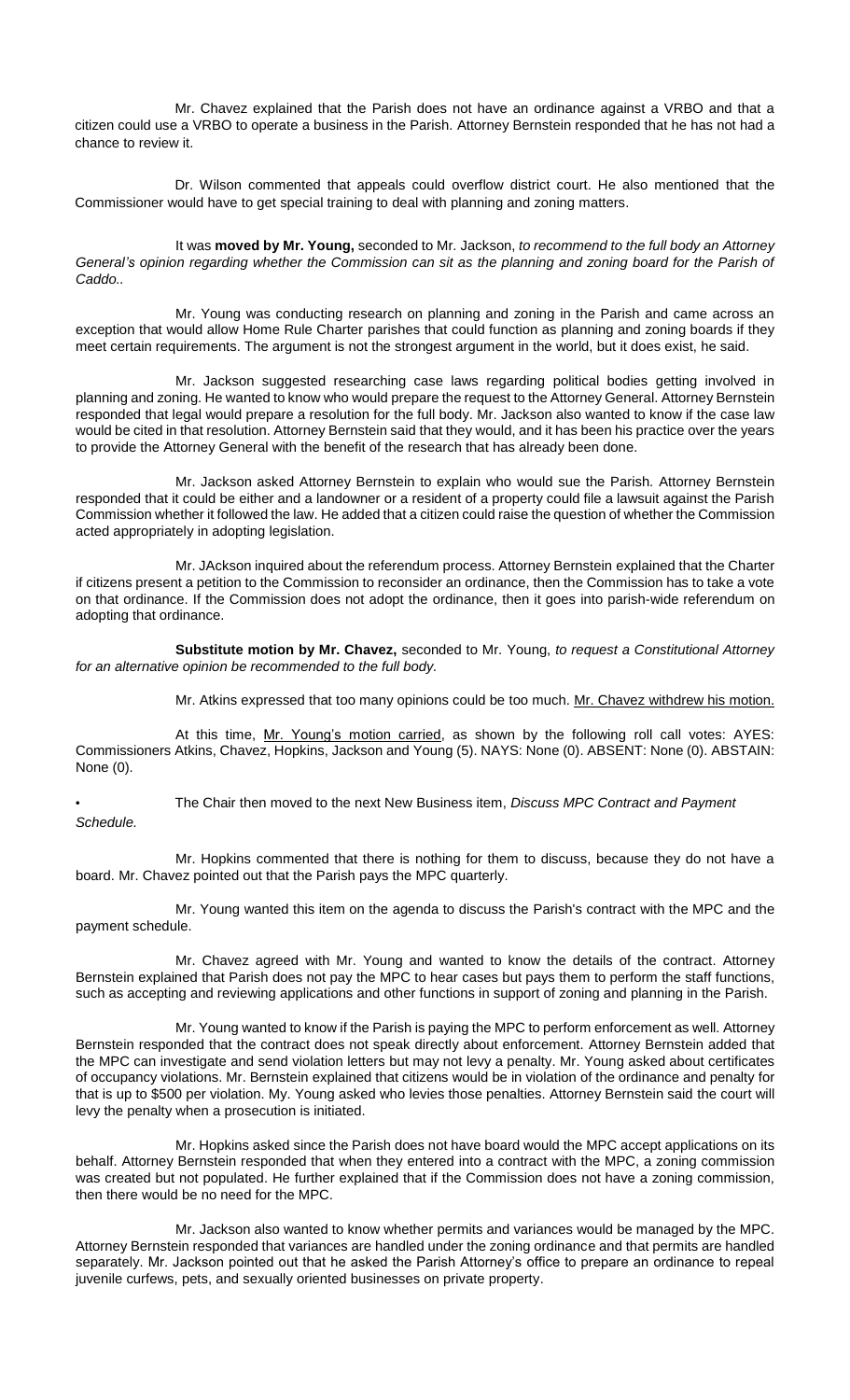Mr. Chavez explained that the Parish does not have an ordinance against a VRBO and that a citizen could use a VRBO to operate a business in the Parish. Attorney Bernstein responded that he has not had a chance to review it.

Dr. Wilson commented that appeals could overflow district court. He also mentioned that the Commissioner would have to get special training to deal with planning and zoning matters.

It was **moved by Mr. Young,** seconded to Mr. Jackson, *to recommend to the full body an Attorney General's opinion regarding whether the Commission can sit as the planning and zoning board for the Parish of Caddo..*

Mr. Young was conducting research on planning and zoning in the Parish and came across an exception that would allow Home Rule Charter parishes that could function as planning and zoning boards if they meet certain requirements. The argument is not the strongest argument in the world, but it does exist, he said.

Mr. Jackson suggested researching case laws regarding political bodies getting involved in planning and zoning. He wanted to know who would prepare the request to the Attorney General. Attorney Bernstein responded that legal would prepare a resolution for the full body. Mr. Jackson also wanted to know if the case law would be cited in that resolution. Attorney Bernstein said that they would, and it has been his practice over the years to provide the Attorney General with the benefit of the research that has already been done.

Mr. Jackson asked Attorney Bernstein to explain who would sue the Parish. Attorney Bernstein responded that it could be either and a landowner or a resident of a property could file a lawsuit against the Parish Commission whether it followed the law. He added that a citizen could raise the question of whether the Commission acted appropriately in adopting legislation.

Mr. JAckson inquired about the referendum process. Attorney Bernstein explained that the Charter if citizens present a petition to the Commission to reconsider an ordinance, then the Commission has to take a vote on that ordinance. If the Commission does not adopt the ordinance, then it goes into parish-wide referendum on adopting that ordinance.

**Substitute motion by Mr. Chavez,** seconded to Mr. Young, *to request a Constitutional Attorney for an alternative opinion be recommended to the full body.*

Mr. Atkins expressed that too many opinions could be too much. Mr. Chavez withdrew his motion.

At this time, Mr. Young's motion carried, as shown by the following roll call votes: AYES: Commissioners Atkins, Chavez, Hopkins, Jackson and Young (5). NAYS: None (0). ABSENT: None (0). ABSTAIN: None (0).

• The Chair then moved to the next New Business item, *Discuss MPC Contract and Payment Schedule.*

Mr. Hopkins commented that there is nothing for them to discuss, because they do not have a board. Mr. Chavez pointed out that the Parish pays the MPC quarterly.

Mr. Young wanted this item on the agenda to discuss the Parish's contract with the MPC and the payment schedule.

Mr. Chavez agreed with Mr. Young and wanted to know the details of the contract. Attorney Bernstein explained that Parish does not pay the MPC to hear cases but pays them to perform the staff functions, such as accepting and reviewing applications and other functions in support of zoning and planning in the Parish.

Mr. Young wanted to know if the Parish is paying the MPC to perform enforcement as well. Attorney Bernstein responded that the contract does not speak directly about enforcement. Attorney Bernstein added that the MPC can investigate and send violation letters but may not levy a penalty. Mr. Young asked about certificates of occupancy violations. Mr. Bernstein explained that citizens would be in violation of the ordinance and penalty for that is up to \$500 per violation. My. Young asked who levies those penalties. Attorney Bernstein said the court will levy the penalty when a prosecution is initiated.

Mr. Hopkins asked since the Parish does not have board would the MPC accept applications on its behalf. Attorney Bernstein responded that when they entered into a contract with the MPC, a zoning commission was created but not populated. He further explained that if the Commission does not have a zoning commission, then there would be no need for the MPC.

Mr. Jackson also wanted to know whether permits and variances would be managed by the MPC. Attorney Bernstein responded that variances are handled under the zoning ordinance and that permits are handled separately. Mr. Jackson pointed out that he asked the Parish Attorney's office to prepare an ordinance to repeal juvenile curfews, pets, and sexually oriented businesses on private property.